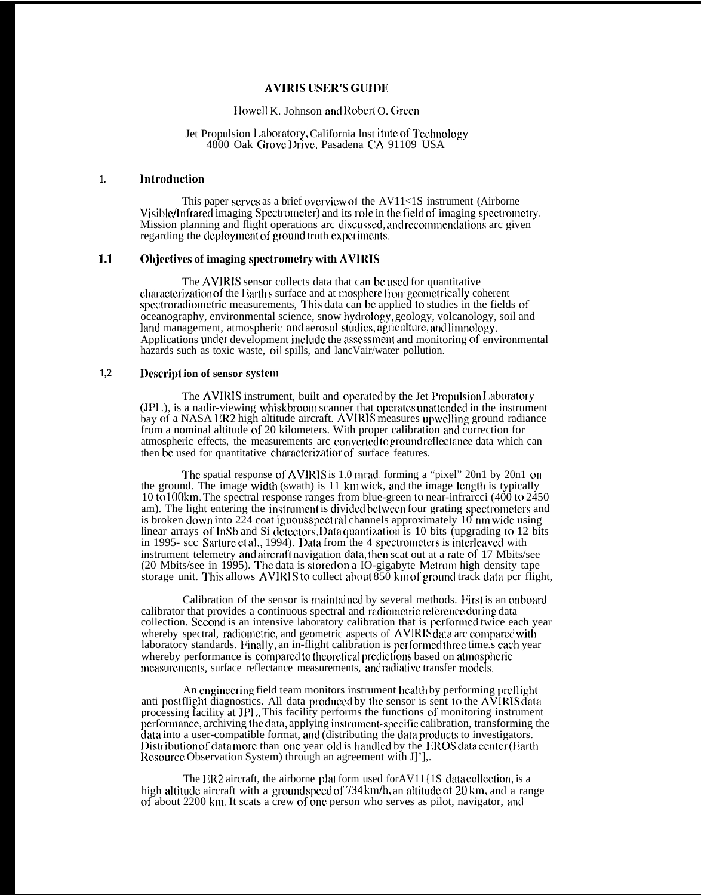## **AVIRIS USICR'S Gllll)lc**

### Howell K. Johnson and Robert O. Green

#### Jet Propulsion Laboratory, California lnst itute of Technology 4800 Oak Grove Drive. Pasadena CA 91109 USA

### **1. ]nlrodoction**

This paper scrwcs as a brief cwcrvicw of the AV11<1S instrument (Airborne Visible/Infrared imaging Spectrometer) and its role in the field of imaging spectrometry. Mission planning and flight operations arc discussed, and recommendations arc given regarding the deployment of ground truth experiments.

# 1.1 **Objectives of imaging spectrometry with AVIRIS**

The AVIRIS sensor collects data that can be used for quantitative characterization of the Earth's surface and at mosphere from geometrically coherent spectroradiometric measurements, This data can be applied to studies in the fields of oceanography, environmental science, snow hydrology, geology, volcanology, soil and land management, atmospheric and aerosol studies, agriculture, and limnology. Applications under development include the assessment and monitoring of environmental hazards such as toxic waste, oil spills, and lancVair/water pollution.

## **1,2 l)cscripl ion of sensor systcm**

The AVIRIS instrument, built and operated by the Jet Propulsion Laboratory (JPI), is a nadir-viewing whiskbroom scanner that opcrates unattended in the instrument bay of a NASA ER2 high altitude aircraft. AVIRIS measures upwelling ground radiance from a nominal altitude of 20 kilometers. With proper calibration and correction for atmospheric effects, the measurements arc converted to ground reflectance data which can then be used for quantitative characterization of surface features.

The spatial response of AVIRIS is 1.0 mrad, forming a "pixel"  $20n1$  by  $20n1$  on the ground. The image width (swath) is  $11 \text{ km}$  wick, and the image length is typically 10 to 100km. The spectral response ranges from blue-green to near-infrarcci (400 to 2450 am). The light entering the instrument is divided between four grating spectrometers and is broken down into  $2\overline{2}4$  coat iguous spect ral channels approximately 10 nm wide using linear arrays of InSb and Si detectors. Data quantization is 10 bits (upgrading to 12 bits<br>in 1995- scc Sarture et al., 1994). Data from the 4 spectrometers is interleaved with instrument telemetry and aircraft navigation data, then scat out at a rate of 17 Mbits/see (20 Mbits/see in 1995). The data is stored on a IO-gigabyte Mctrum high density tape storage unit. This allows AVIRIS to collect about 850 km of ground track data pcr flight,

Calibration of the sensor is maintained by several methods. First is an onboard calibrator that provides a continuous spectral and radiometric reference during data collection. Second is an intensive laboratory calibration that is performed twice each year whereby spectral, radiometric, and geometric aspects of AVIRIS data arc compared with laboratory standards. Finally, an in-flight calibration is performed three time.s each year whereby performance is compared to theoretical predictions based on atmospheric measurements, surface reflectance measurements, and radiative transfer models.

An engineering field team monitors instrument health by performing preflight anti postflight diagnostics. All data produced by the sensor is sent to the AVIRIS data processing facility at JP1,. This facility performs the functions of monitoring instrument performance, archiving the data, applying instrument-specific calibration, transforming the data into a user-compatible format, and (distributing the data products to investigators. Distribution of data more than one year old is handled by the EROS data center (Earth Resource Observation System) through an agreement with J]'],.

The ER2 aircraft, the airborne plat form used for AV11 $\{1S$  data collection, is a high altitude aircraft with a ground speed of  $734 \text{ km/h}$ , an altitude of  $20 \text{ km}$ , and a range of about 2200 km. It scats a crew of cmc person who serves as pilot, navigator, ami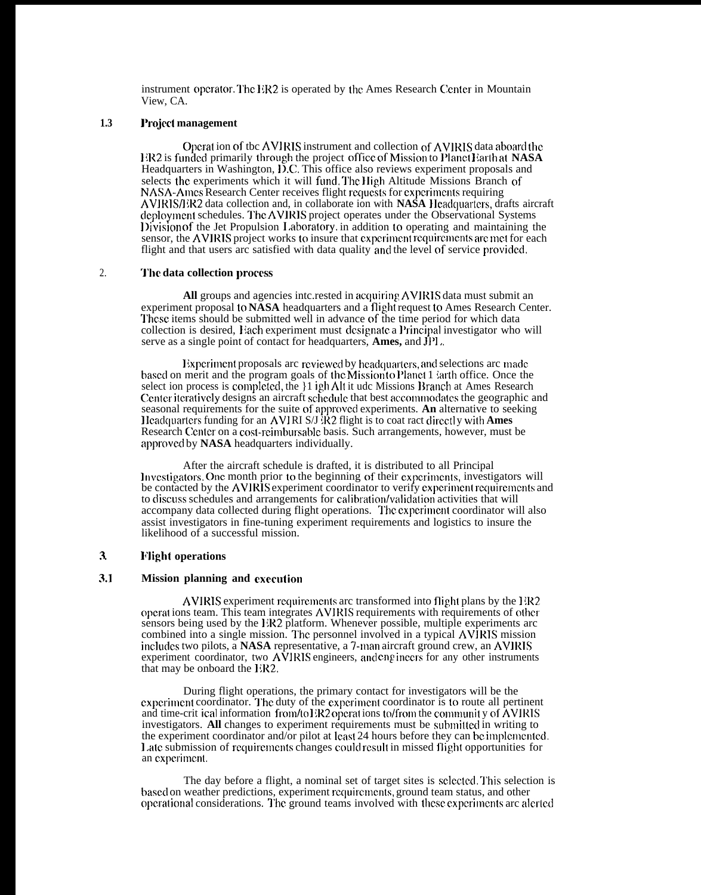instrument operator. The  $I/R2$  is operated by the Ames Research Center in Mountain View, CA.

# **1.3 l'rojcct management**

Operat ion of the AVIRIS instrument and collection of AVIRIS data aboard the 111<2 is funded primarily t}mugh the project office of h4ission to Planet <sup>1</sup> \arth at **NASA** Headquarters in Washington, D.C. This office also reviews experiment proposals and selects the experiments which it will fund. The High Altitude Missions Branch of NASA-Ames Research Center receives flight requests for experiments requiring **AVIRIS/J** *iR2* data collection and, in collaborate ion with **NASA II** cadquarters, drafts aircraft deployment schedules. The AVIRIS project operates under the Observational Systems l)ivision of the Jet Propulsion 1,aboratory, in addition to operating and maintaining the sensor, the **AVIRIS** project works to insure that cxpcrimmt rcquircmcnts arc met for each flight and that users arc satisfied with data quality and the level of service provided.

## 2. **The data collection process**

All groups and agencies intc.rested in acquiring AVIRIS data must submit an experiment proposal to **NASA** headquarters and a flight request to Ames Research Center. These items should be submitted well in advance of the time period for which data collection is desired, Each experiment must designate a Principal investigator who will serve as a single point of contact for headquarters, **Ames**, and **JPl**...

Experiment proposals arc reviewed by headquarters, and selections arc made based on merit and the program goals of the Mission to Planet 1 iarth office. Once the select ion process is completed, the }1 igh Alt it udc Missions Branch at Ames Research Center iteratively designs an aircraft schedule that best accommodates the geographic and seasonal requirements for the suite of approvccl experiments. **An** alternative to seeking <sup>I</sup> lcadqoartcrs funding for an AVI RI S/J X2 flight is to coat ract dircctl y with **Ames** Research Center on a cost-rcinlbursablc basis. Such arrangements, however, must be approved by **NASA** headquarters individually.

After the aircraft schedule is drafted, it is distributed to all Principal Investigators. One month prior to the beginning of their experiments, investigators will be contacted by the AVIRIS experiment coordinator to verify experiment requirements and to discuss schedules and arrangements for calibration/validation activities that will accompany data collected during flight operations. '1'hc cxpcrimcnt coordinator will also assist investigators in fine-tuning experiment requirements and logistics to insure the likelihood of a successful mission.

## **. . 3 Night operations**

### **3.1 Mission planning and cxccotion**

AVIRIS experiment requirements arc transformed into flight plans by the 1  $R2$ operat ions team. This team integrates AVIRIS requirements with requirements of other sensors being used by the 1X2 platform. Whenever possible, multiple experiments arc combined into a single mission. The personnel involved in a typical AVIRIS mission includes two pilots, a **NASA** representative, a 7-man aircraft ground crew, an **AVIRIS** experiment coordinator, two  $A\hat{V}$ IRIS engineers, and engineers for any other instruments that may be onboard the I:R2.

During flight operations, the primary contact for investigators will be the experiment coordinator. The duty of the experiment coordinator is to route all pertinent and time-crit ical information from/to 1<sup>2</sup>R2 operations to/from the community of  $\hat{A}VIRIS$ investigators. All changes to experiment requirements must be submitted in writing to the experiment coordinator and/or pilot at least 24 hours before they can be implcmcntccl, Late submission of requirements changes could result in missed flight opportunities for an cxpcrimcnt.

The day before a flight, a nominal set of target sites is selected. This selection is based on weather predictions, experiment requirements, ground team status, and other operational considerations. The ground teams involved with these experiments arc alcrited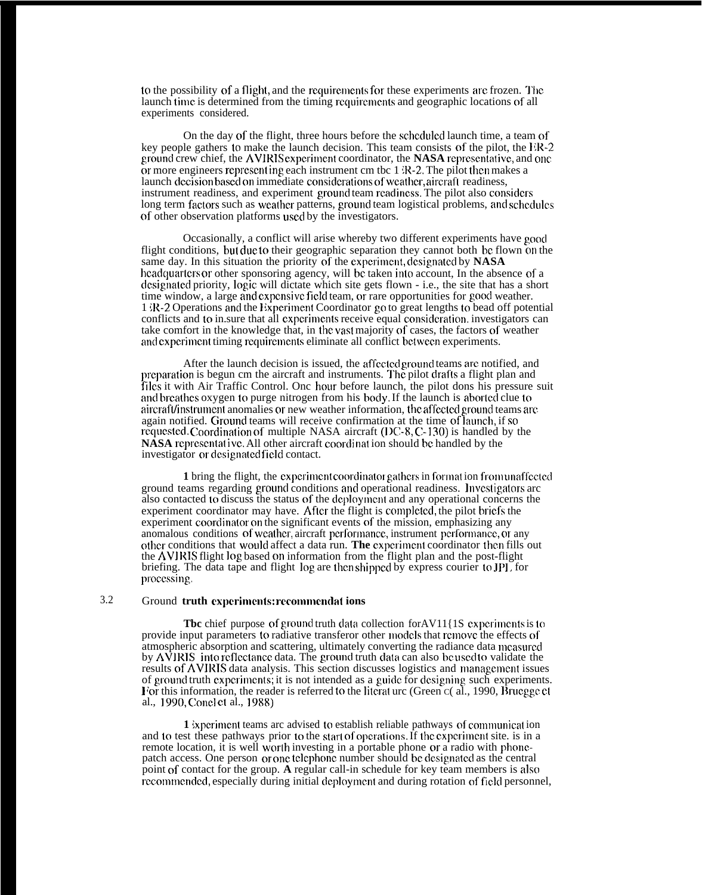to the possibility of a flight, and the requirements for these experiments are frozen. The launch time is determined from the timing requirements and geographic locations of all experiments considered.

On the day of the flight, three hours before the scheduled launch time, a team of key people gathers to make the launch decision. This team consists of the pilot, the liR-2 ground crew chief, the AVIRIS experiment coordinator, the NASA representative, and one or more engineers representing each instrument cm tbc  $1 \, \text{R-2}$ . The pilot then makes a launch decision based on immediate considerations of weather, aircraft readiness, instrument readiness, and experiment ground team readiness. The pilot also considers long term factors such as weather patterns, ground team logistical problems, and schedules of other observation platforms used by the investigators.

Occasionally, a conflict will arise whereby two different experiments have good flight conditions, but due to their geographic separation they cannot both bc flown on the same day. In this situation the priority of the cxpcrimcnt, clcsignatcd by **NASA** headquarters or other sponsoring agency, will be taken into account. In the absence of a designated priority, logic will dictate which site gets flown - i.e., the site that has a short time window, a large and expensive field team, or rare opportunities for good weather. 1 ;1{-2 Operations and the }~xpcriment Coordinator go to great lengths to bead off potential conflicts and to in. sure that all experiments receive equal consideration, investigators can take comfort in the knowledge that, in the vast majority of cases, the factors of weather and experiment timing requirements eliminate all conflict between experiments.

After the launch decision is issued, the affected ground teams are notified, and preparation is begun cm the aircraft and instruments. The pilot drafts a flight plan and files it with Air Traffic Control. Onc hour before launch, the pilot dons his pressure suit and breathes oxygen to purge nitrogen from his body. If the launch is aborted clue to aircraft/instrument anomalies or new weather information, the affected ground teams are again notified. Ground teams will receive confirmation at the time of ]aunch, if so requested. Coordination of multiple NASA aircraft ( $DC-8$ ,  $C-130$ ) is handled by the **NASA** representative. All other aircraft coordination should be handled by the investigator or designated field contact.

**1** bring the flight, the experiment coordinator gathers in format ion from unaffected. ground teams regarding ground conditions and operational readiness. Investigators arc also contacted to discuss the status of the dcploytncnt and any operational concerns the experiment coordinator may have. After the flight is completed, the pilot briefs the experiment coordinator on the significant events of the mission, emphasizing any anomalous conditions of weather, aircraft performance, instrument performance, or any other conditions that would affect a data run. The experiment coordinator then fills out the AVIRIS flight log based on information from the flight plan and the post-flight briefing. The data tape and flight log are then shipped by express courier to **JPI** for processing.

## 3.2 Ground **truth cxpcrimculs: rccommcndat ions**

**The** chief purpose of ground truth data collection forAV11{1S experiments is to provide input parameters to radiative transferor other models that remove the effects of atmospheric absorption and scattering, ultimately converting the radiance data mcasurccl by AVIRIS into reflectance data. The ground truth data can also be used to validate the results of AVIRIS data analysis. This section discusses logistics and management issues of ground truth cxpcrimcnts; it is not intended as a guiclc for clcsigning such experiments. For this information, the reader is referred to the literat urc (Green  $C$ ( al., 1990, Bruegge et al., 1990, Concl ct al., 1988)

**1** Experiment teams arc advised to establish reliable pathways of communication and to test these pathways prior to the start of operations. If the experiment site, is in a remote location, it is well worth investing in a portable phone or a radio with phonepatch access. One person or one telephone number should be designated as the central point of contact for the group. **A** regular call-in schedule for key team members is also recommended, especially during initial deployment and during rotation of field personnel,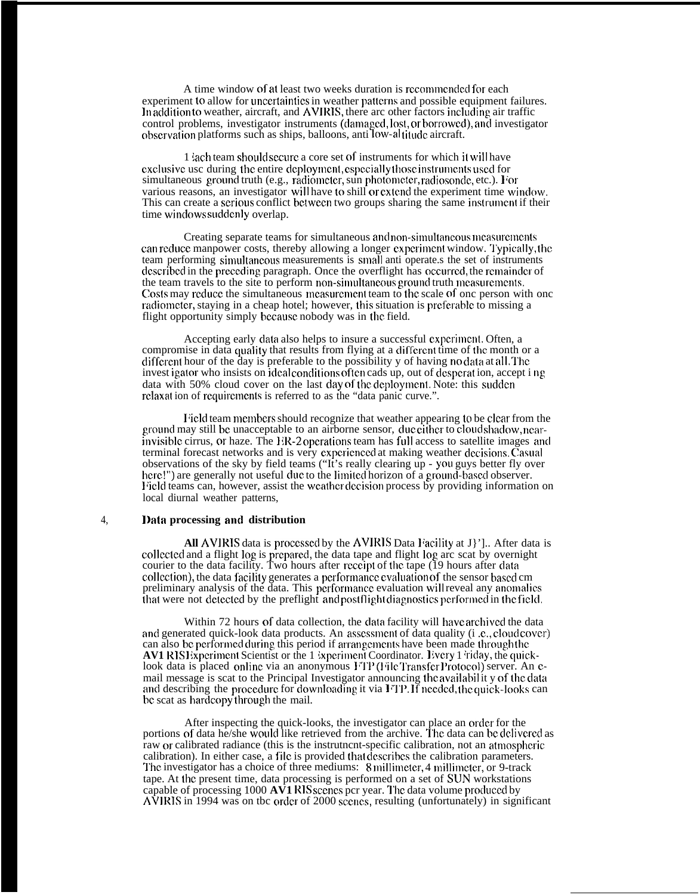A time window of at least two weeks duration is recommended for each experiment to allow for uncertainties in weather patterns and possible equipment failures. In addition to weather, aircraft, and AVIRIS, there arc other factors including air traffic control problems, investigator instruments (damaged, lost, or borrowed), and investigator observation platforms such as ships, balloons, anti low-al titude aircraft.

1 iach team should sccurc a core set of instruments for which it wili have exclusive usc during the entire deployment, especially those instruments used for simultaneous ground truth (e.g., radiometer, sun photometer, radiosonde, etc.). For various reasons, an investigator will have to shill or extend the experiment time window. This can create a serious conflict between two groups sharing the same instrument if their time windows suddenly overlap.

Creating separate teams for simultaneous and non-simultaneous measurements can reduce manpower costs, thereby allowing a longer experiment window. Typically, the team performing simultaneous measurements is small anti-operate.s the set of instruments described in the preceding paragraph. Once the overflight has occurred, the remainder of the team travels to the site to perform non-simultaneous ground truth measurements. Costs may reduce the simultaneous measurement team to the scale of onc person with onc radiometer, staying in a cheap hotel; however, this situation is preferable to missing a flight opportunity simply bccausc nobody was in the field.

Accepting early data also helps to insure a successful experiment. Often, a compromise in data quality that results from flying at a different time of the month or a different hour of the day is preferable to the possibility y of having no data at all. The invest igator who insists on ideal conditions often cads up, out of desperation, accept ing data with 50% cloud cover on the last day of the deployment. Note: this sudden rclaxat ion of requirements is referred to as the "data panic curve.".

If ield team members should recognize that weather appearing to be clear from the ground may still be unacceptable to an airborne sensor, due cither to cloud shadow, nearinvisible cirrus, or haze. The ER-2 operations team has full access to satellite images and terminal forecast networks and is very experienced at making weather decisions. Casual observations of the sky by field teams ("It's really clearing up - YOU guys better fly over here!") are generally not useful due to the limited horizon of a ground-based observer. Field teams can, however, assist the weather decision process by providing information on local diurnal weather patterns,

#### 4, **l)ata processing and distribution**

All AVIRIS data is processed by the AVIRIS Data Facility at J<sup>1</sup>]. After data is collected and a flight log is prepared, the data tape and flight log arc scat by overnight courier to the data facility. Two hours after receipt of the tape  $(19$  hours after data collection), the data facility generates a performance evaluation of the sensor based cm preliminary analysis of the data. This performance evaluation will reveal any anomalies that were not detected by the preflight and postflight diagnostics performed in the field.

Within 72 hours of data collection, the data facility will have archived the data and generated quick-look data products. An assessment of data quality (i.e., cloud cover) can also be performed during this period if arrangements have been made through the **AV1 RISI:**xperiment Scientist or the 1 ixperiment Coordinator. Every 1 riday, the quicklook data is placed online via an anonymous FTP (File Transfer Protocol) server. An cmail message is scat to the Principal Investigator announcing the availabil it y of the data and describing the procedure for downloading it via  $I<sup>T</sup>$ . If needed, the quick-looks can be scat as hardcopy through the mail.

After inspecting the quick-looks, the investigator can place an order for the portions of data he/she would like retrieved from the archive. The data can be delivered as raw or calibrated radiance (this is the instrutncnt-specific calibration, not an attnosphcric calibration). In either case, a file is provided that describes the calibration parameters. The investigator has a choice of three mediums: 8 millimeter, 4 millimeter, or 9-track tape. At the present time, data processing is performed on a set of SUN workstations capable of processing  $1000 \text{ A}V1$  RIS scenes pcr year. The data volume produced by  $\overrightarrow{\text{AVIRIS}}$  in 1994 was on tbc order of 2000 scenes, resulting (unfortunately) in significant